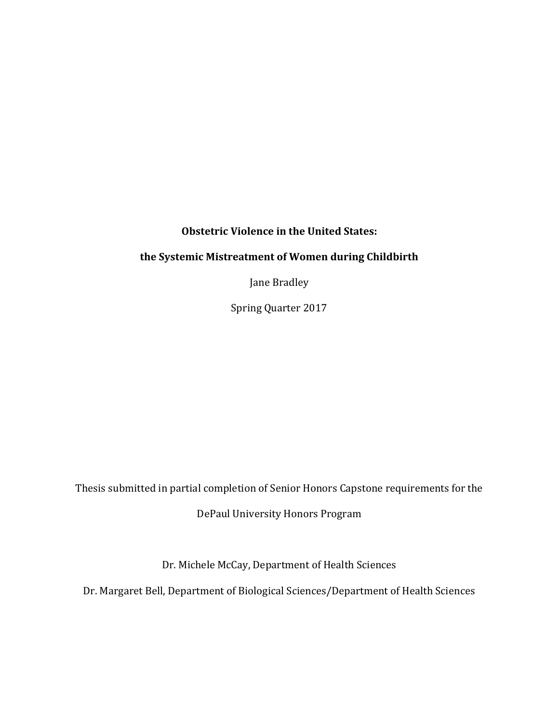# **Obstetric Violence in the United States:**

# **the Systemic Mistreatment of Women during Childbirth**

Jane Bradley

Spring Quarter 2017

Thesis submitted in partial completion of Senior Honors Capstone requirements for the

DePaul University Honors Program

Dr. Michele McCay, Department of Health Sciences

Dr. Margaret Bell, Department of Biological Sciences/Department of Health Sciences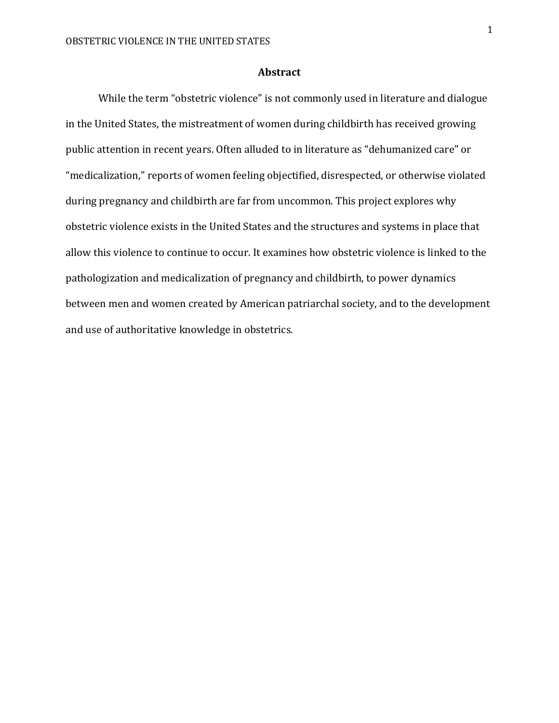## **Abstract**

While the term "obstetric violence" is not commonly used in literature and dialogue in the United States, the mistreatment of women during childbirth has received growing public attention in recent years. Often alluded to in literature as "dehumanized care" or "medicalization," reports of women feeling objectified, disrespected, or otherwise violated during pregnancy and childbirth are far from uncommon. This project explores why obstetric violence exists in the United States and the structures and systems in place that allow this violence to continue to occur. It examines how obstetric violence is linked to the pathologization and medicalization of pregnancy and childbirth, to power dynamics between men and women created by American patriarchal society, and to the development and use of authoritative knowledge in obstetrics.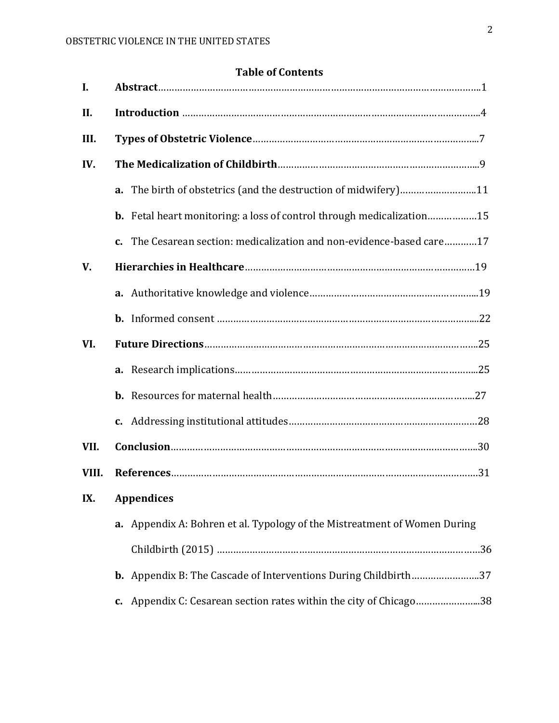| <b>Table of Contents</b> |
|--------------------------|
|--------------------------|

| I.    |             |                                                                                  |  |  |  |
|-------|-------------|----------------------------------------------------------------------------------|--|--|--|
| II.   |             |                                                                                  |  |  |  |
| III.  |             |                                                                                  |  |  |  |
| IV.   |             |                                                                                  |  |  |  |
|       | $a_{\cdot}$ | The birth of obstetrics (and the destruction of midwifery)11                     |  |  |  |
|       |             | b. Fetal heart monitoring: a loss of control through medicalization15            |  |  |  |
|       | $c_{\cdot}$ | The Cesarean section: medicalization and non-evidence-based care17               |  |  |  |
| V.    |             |                                                                                  |  |  |  |
|       |             |                                                                                  |  |  |  |
|       |             |                                                                                  |  |  |  |
| VI.   |             |                                                                                  |  |  |  |
|       |             |                                                                                  |  |  |  |
|       |             |                                                                                  |  |  |  |
|       |             |                                                                                  |  |  |  |
| VII.  |             |                                                                                  |  |  |  |
| VIII. |             |                                                                                  |  |  |  |
| IX.   |             | <b>Appendices</b>                                                                |  |  |  |
|       |             | <b>a.</b> Appendix A: Bohren et al. Typology of the Mistreatment of Women During |  |  |  |
|       |             |                                                                                  |  |  |  |
|       |             | <b>b.</b> Appendix B: The Cascade of Interventions During Childbirth37           |  |  |  |
|       | c.          | Appendix C: Cesarean section rates within the city of Chicago38                  |  |  |  |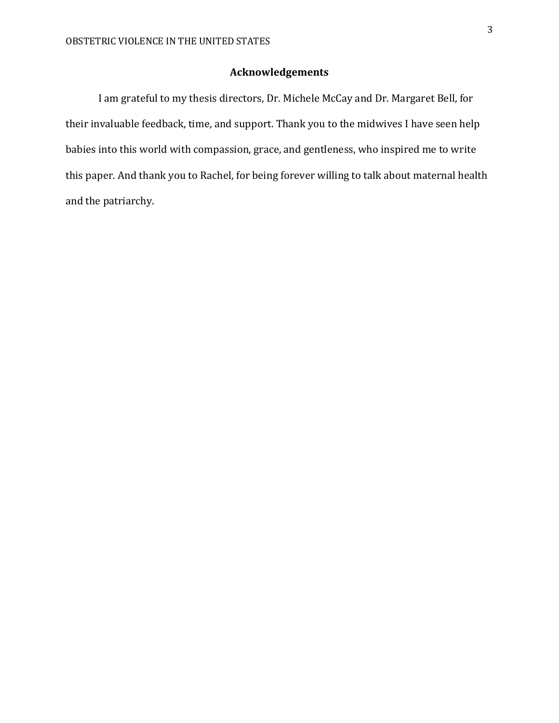# **Acknowledgements**

I am grateful to my thesis directors, Dr. Michele McCay and Dr. Margaret Bell, for their invaluable feedback, time, and support. Thank you to the midwives I have seen help babies into this world with compassion, grace, and gentleness, who inspired me to write this paper. And thank you to Rachel, for being forever willing to talk about maternal health and the patriarchy.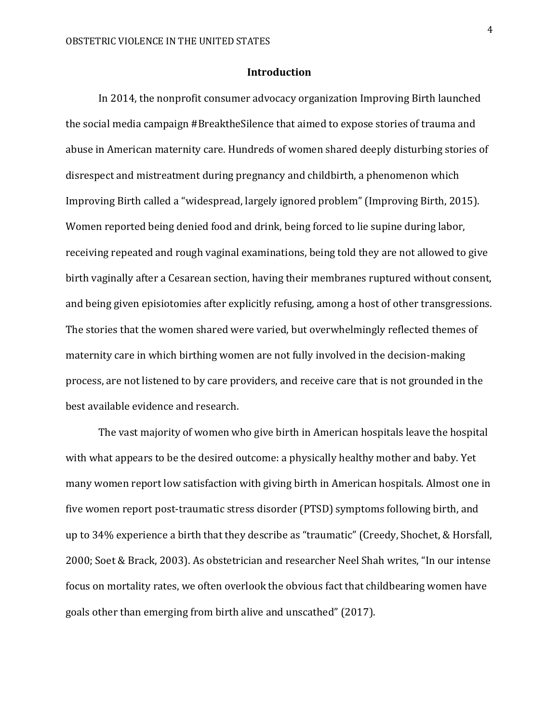## **Introduction**

 In 2014, the nonprofit consumer advocacy organization Improving Birth launched the social media campaign #BreaktheSilence that aimed to expose stories of trauma and abuse in American maternity care. Hundreds of women shared deeply disturbing stories of disrespect and mistreatment during pregnancy and childbirth, a phenomenon which Improving Birth called a "widespread, largely ignored problem" (Improving Birth, 2015). Women reported being denied food and drink, being forced to lie supine during labor, receiving repeated and rough vaginal examinations, being told they are not allowed to give birth vaginally after a Cesarean section, having their membranes ruptured without consent, and being given episiotomies after explicitly refusing, among a host of other transgressions. The stories that the women shared were varied, but overwhelmingly reflected themes of maternity care in which birthing women are not fully involved in the decision-making process, are not listened to by care providers, and receive care that is not grounded in the best available evidence and research.

The vast majority of women who give birth in American hospitals leave the hospital with what appears to be the desired outcome: a physically healthy mother and baby. Yet many women report low satisfaction with giving birth in American hospitals. Almost one in five women report post-traumatic stress disorder (PTSD) symptoms following birth, and up to 34% experience a birth that they describe as "traumatic" (Creedy, Shochet, & Horsfall, 2000; Soet & Brack, 2003). As obstetrician and researcher Neel Shah writes, "In our intense focus on mortality rates, we often overlook the obvious fact that childbearing women have goals other than emerging from birth alive and unscathed" (2017).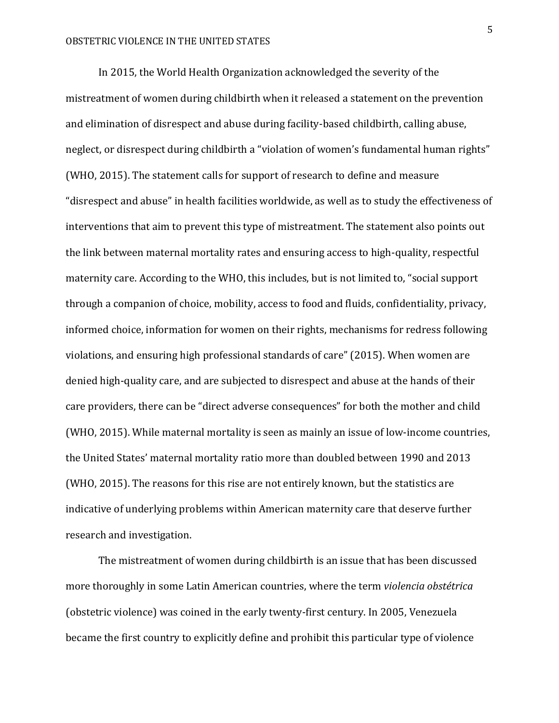In 2015, the World Health Organization acknowledged the severity of the mistreatment of women during childbirth when it released a statement on the prevention and elimination of disrespect and abuse during facility-based childbirth, calling abuse, neglect, or disrespect during childbirth a "violation of women's fundamental human rights" (WHO, 2015). The statement calls for support of research to define and measure "disrespect and abuse" in health facilities worldwide, as well as to study the effectiveness of interventions that aim to prevent this type of mistreatment. The statement also points out the link between maternal mortality rates and ensuring access to high-quality, respectful maternity care. According to the WHO, this includes, but is not limited to, "social support through a companion of choice, mobility, access to food and fluids, confidentiality, privacy, informed choice, information for women on their rights, mechanisms for redress following violations, and ensuring high professional standards of care" (2015). When women are denied high-quality care, and are subjected to disrespect and abuse at the hands of their care providers, there can be "direct adverse consequences" for both the mother and child (WHO, 2015). While maternal mortality is seen as mainly an issue of low-income countries, the United States' maternal mortality ratio more than doubled between 1990 and 2013 (WHO, 2015). The reasons for this rise are not entirely known, but the statistics are indicative of underlying problems within American maternity care that deserve further research and investigation.

The mistreatment of women during childbirth is an issue that has been discussed more thoroughly in some Latin American countries, where the term *violencia obstétrica* (obstetric violence) was coined in the early twenty-first century. In 2005, Venezuela became the first country to explicitly define and prohibit this particular type of violence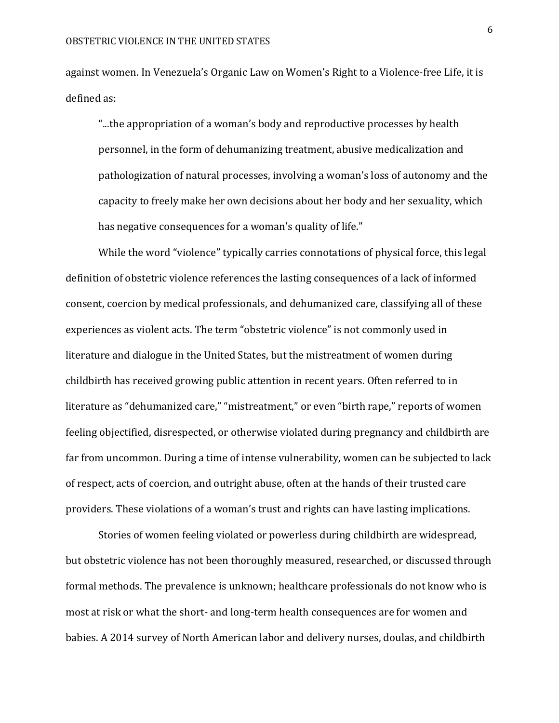against women. In Venezuela's Organic Law on Women's Right to a Violence-free Life, it is defined as:

"...the appropriation of a woman's body and reproductive processes by health personnel, in the form of dehumanizing treatment, abusive medicalization and pathologization of natural processes, involving a woman's loss of autonomy and the capacity to freely make her own decisions about her body and her sexuality, which has negative consequences for a woman's quality of life."

While the word "violence" typically carries connotations of physical force, this legal definition of obstetric violence references the lasting consequences of a lack of informed consent, coercion by medical professionals, and dehumanized care, classifying all of these experiences as violent acts. The term "obstetric violence" is not commonly used in literature and dialogue in the United States, but the mistreatment of women during childbirth has received growing public attention in recent years. Often referred to in literature as "dehumanized care," "mistreatment," or even "birth rape," reports of women feeling objectified, disrespected, or otherwise violated during pregnancy and childbirth are far from uncommon. During a time of intense vulnerability, women can be subjected to lack of respect, acts of coercion, and outright abuse, often at the hands of their trusted care providers. These violations of a woman's trust and rights can have lasting implications.

 Stories of women feeling violated or powerless during childbirth are widespread, but obstetric violence has not been thoroughly measured, researched, or discussed through formal methods. The prevalence is unknown; healthcare professionals do not know who is most at risk or what the short- and long-term health consequences are for women and babies. A 2014 survey of North American labor and delivery nurses, doulas, and childbirth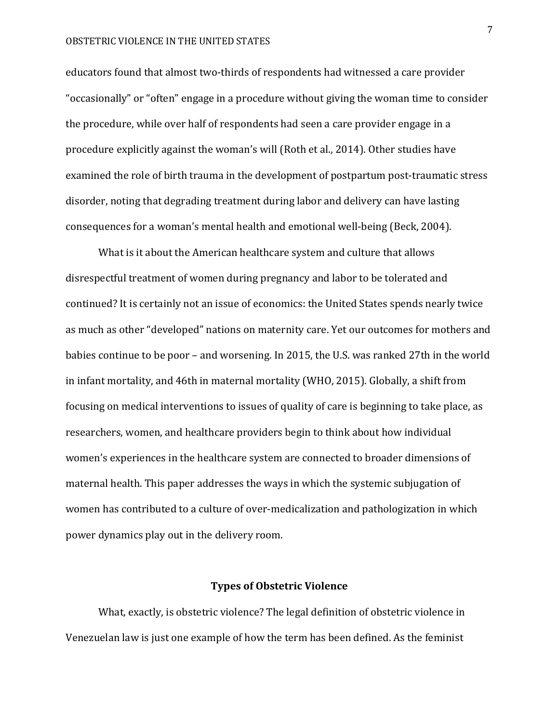educators found that almost two-thirds of respondents had witnessed a care provider "occasionally" or "often" engage in a procedure without giving the woman time to consider the procedure, while over half of respondents had seen a care provider engage in a procedure explicitly against the woman's will (Roth et al., 2014). Other studies have examined the role of birth trauma in the development of postpartum post-traumatic stress disorder, noting that degrading treatment during labor and delivery can have lasting consequences for a woman's mental health and emotional well-being (Beck, 2004).

What is it about the American healthcare system and culture that allows disrespectful treatment of women during pregnancy and labor to be tolerated and continued? It is certainly not an issue of economics: the United States spends nearly twice as much as other "developed" nations on maternity care. Yet our outcomes for mothers and babies continue to be poor – and worsening. In 2015, the U.S. was ranked 27th in the world in infant mortality, and 46th in maternal mortality (WHO, 2015). Globally, a shift from focusing on medical interventions to issues of quality of care is beginning to take place, as researchers, women, and healthcare providers begin to think about how individual women's experiences in the healthcare system are connected to broader dimensions of maternal health. This paper addresses the ways in which the systemic subjugation of women has contributed to a culture of over-medicalization and pathologization in which power dynamics play out in the delivery room.

#### **Types of Obstetric Violence**

 What, exactly, is obstetric violence? The legal definition of obstetric violence in Venezuelan law is just one example of how the term has been defined. As the feminist

7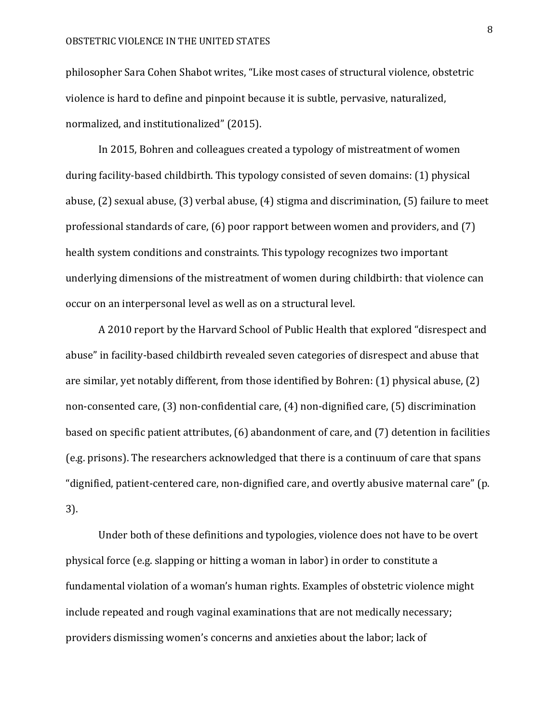#### OBSTETRIC VIOLENCE IN THE UNITED STATES

philosopher Sara Cohen Shabot writes, "Like most cases of structural violence, obstetric violence is hard to define and pinpoint because it is subtle, pervasive, naturalized, normalized, and institutionalized" (2015).

In 2015, Bohren and colleagues created a typology of mistreatment of women during facility-based childbirth. This typology consisted of seven domains: (1) physical abuse, (2) sexual abuse, (3) verbal abuse, (4) stigma and discrimination, (5) failure to meet professional standards of care, (6) poor rapport between women and providers, and (7) health system conditions and constraints. This typology recognizes two important underlying dimensions of the mistreatment of women during childbirth: that violence can occur on an interpersonal level as well as on a structural level.

A 2010 report by the Harvard School of Public Health that explored "disrespect and abuse" in facility-based childbirth revealed seven categories of disrespect and abuse that are similar, yet notably different, from those identified by Bohren: (1) physical abuse, (2) non-consented care, (3) non-confidential care, (4) non-dignified care, (5) discrimination based on specific patient attributes, (6) abandonment of care, and (7) detention in facilities (e.g. prisons). The researchers acknowledged that there is a continuum of care that spans "dignified, patient-centered care, non-dignified care, and overtly abusive maternal care" (p. 3).

Under both of these definitions and typologies, violence does not have to be overt physical force (e.g. slapping or hitting a woman in labor) in order to constitute a fundamental violation of a woman's human rights. Examples of obstetric violence might include repeated and rough vaginal examinations that are not medically necessary; providers dismissing women's concerns and anxieties about the labor; lack of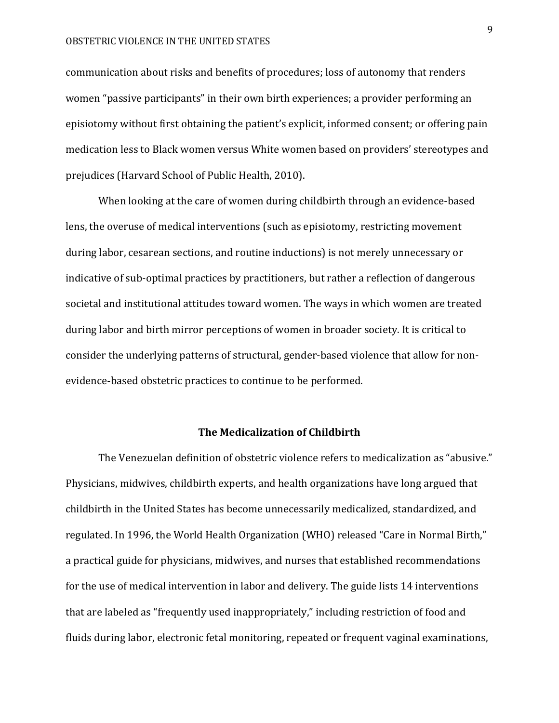#### OBSTETRIC VIOLENCE IN THE UNITED STATES

communication about risks and benefits of procedures; loss of autonomy that renders women "passive participants" in their own birth experiences; a provider performing an episiotomy without first obtaining the patient's explicit, informed consent; or offering pain medication less to Black women versus White women based on providers' stereotypes and prejudices (Harvard School of Public Health, 2010).

When looking at the care of women during childbirth through an evidence-based lens, the overuse of medical interventions (such as episiotomy, restricting movement during labor, cesarean sections, and routine inductions) is not merely unnecessary or indicative of sub-optimal practices by practitioners, but rather a reflection of dangerous societal and institutional attitudes toward women. The ways in which women are treated during labor and birth mirror perceptions of women in broader society. It is critical to consider the underlying patterns of structural, gender-based violence that allow for nonevidence-based obstetric practices to continue to be performed.

### **The Medicalization of Childbirth**

 The Venezuelan definition of obstetric violence refers to medicalization as "abusive." Physicians, midwives, childbirth experts, and health organizations have long argued that childbirth in the United States has become unnecessarily medicalized, standardized, and regulated. In 1996, the World Health Organization (WHO) released "Care in Normal Birth," a practical guide for physicians, midwives, and nurses that established recommendations for the use of medical intervention in labor and delivery. The guide lists 14 interventions that are labeled as "frequently used inappropriately," including restriction of food and fluids during labor, electronic fetal monitoring, repeated or frequent vaginal examinations,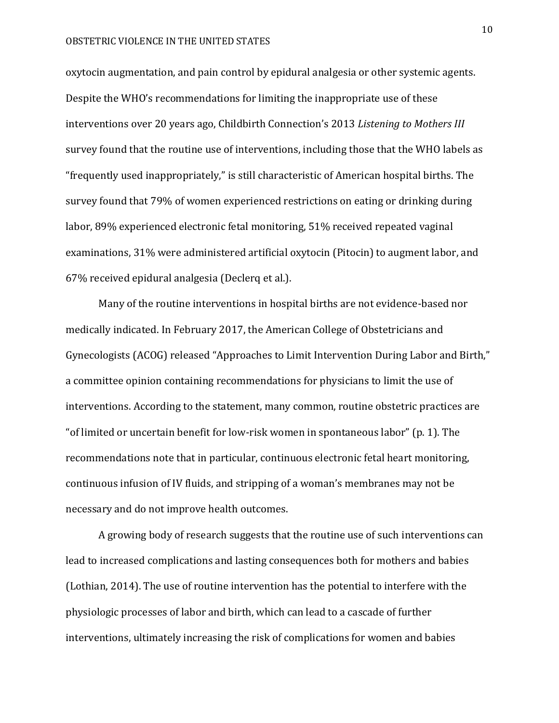oxytocin augmentation, and pain control by epidural analgesia or other systemic agents. Despite the WHO's recommendations for limiting the inappropriate use of these interventions over 20 years ago, Childbirth Connection's 2013 *Listening to Mothers III* survey found that the routine use of interventions, including those that the WHO labels as "frequently used inappropriately," is still characteristic of American hospital births. The survey found that 79% of women experienced restrictions on eating or drinking during labor, 89% experienced electronic fetal monitoring, 51% received repeated vaginal examinations, 31% were administered artificial oxytocin (Pitocin) to augment labor, and 67% received epidural analgesia (Declerq et al.).

Many of the routine interventions in hospital births are not evidence-based nor medically indicated. In February 2017, the American College of Obstetricians and Gynecologists (ACOG) released "Approaches to Limit Intervention During Labor and Birth," a committee opinion containing recommendations for physicians to limit the use of interventions. According to the statement, many common, routine obstetric practices are "of limited or uncertain benefit for low-risk women in spontaneous labor" (p. 1). The recommendations note that in particular, continuous electronic fetal heart monitoring, continuous infusion of IV fluids, and stripping of a woman's membranes may not be necessary and do not improve health outcomes.

A growing body of research suggests that the routine use of such interventions can lead to increased complications and lasting consequences both for mothers and babies (Lothian, 2014). The use of routine intervention has the potential to interfere with the physiologic processes of labor and birth, which can lead to a cascade of further interventions, ultimately increasing the risk of complications for women and babies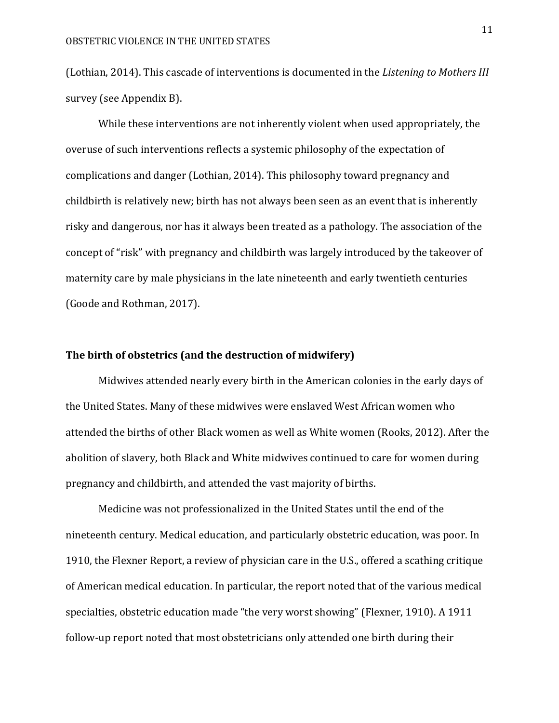(Lothian, 2014). This cascade of interventions is documented in the *Listening to Mothers III* survey (see Appendix B).

While these interventions are not inherently violent when used appropriately, the overuse of such interventions reflects a systemic philosophy of the expectation of complications and danger (Lothian, 2014). This philosophy toward pregnancy and childbirth is relatively new; birth has not always been seen as an event that is inherently risky and dangerous, nor has it always been treated as a pathology. The association of the concept of "risk" with pregnancy and childbirth was largely introduced by the takeover of maternity care by male physicians in the late nineteenth and early twentieth centuries (Goode and Rothman, 2017).

#### **The birth of obstetrics (and the destruction of midwifery)**

 Midwives attended nearly every birth in the American colonies in the early days of the United States. Many of these midwives were enslaved West African women who attended the births of other Black women as well as White women (Rooks, 2012). After the abolition of slavery, both Black and White midwives continued to care for women during pregnancy and childbirth, and attended the vast majority of births.

 Medicine was not professionalized in the United States until the end of the nineteenth century. Medical education, and particularly obstetric education, was poor. In 1910, the Flexner Report, a review of physician care in the U.S., offered a scathing critique of American medical education. In particular, the report noted that of the various medical specialties, obstetric education made "the very worst showing" (Flexner, 1910). A 1911 follow-up report noted that most obstetricians only attended one birth during their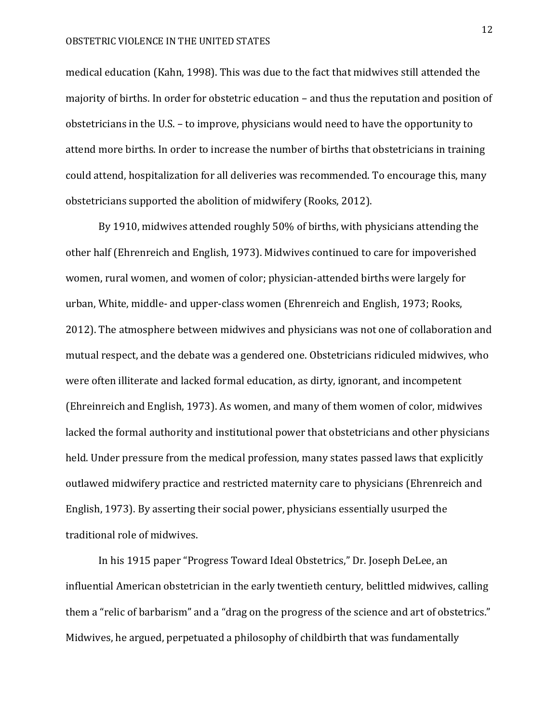medical education (Kahn, 1998). This was due to the fact that midwives still attended the majority of births. In order for obstetric education – and thus the reputation and position of obstetricians in the U.S. – to improve, physicians would need to have the opportunity to attend more births. In order to increase the number of births that obstetricians in training could attend, hospitalization for all deliveries was recommended. To encourage this, many obstetricians supported the abolition of midwifery (Rooks, 2012).

By 1910, midwives attended roughly 50% of births, with physicians attending the other half (Ehrenreich and English, 1973). Midwives continued to care for impoverished women, rural women, and women of color; physician-attended births were largely for urban, White, middle- and upper-class women (Ehrenreich and English, 1973; Rooks, 2012). The atmosphere between midwives and physicians was not one of collaboration and mutual respect, and the debate was a gendered one. Obstetricians ridiculed midwives, who were often illiterate and lacked formal education, as dirty, ignorant, and incompetent (Ehreinreich and English, 1973). As women, and many of them women of color, midwives lacked the formal authority and institutional power that obstetricians and other physicians held. Under pressure from the medical profession, many states passed laws that explicitly outlawed midwifery practice and restricted maternity care to physicians (Ehrenreich and English, 1973). By asserting their social power, physicians essentially usurped the traditional role of midwives.

In his 1915 paper "Progress Toward Ideal Obstetrics," Dr. Joseph DeLee, an influential American obstetrician in the early twentieth century, belittled midwives, calling them a "relic of barbarism" and a "drag on the progress of the science and art of obstetrics." Midwives, he argued, perpetuated a philosophy of childbirth that was fundamentally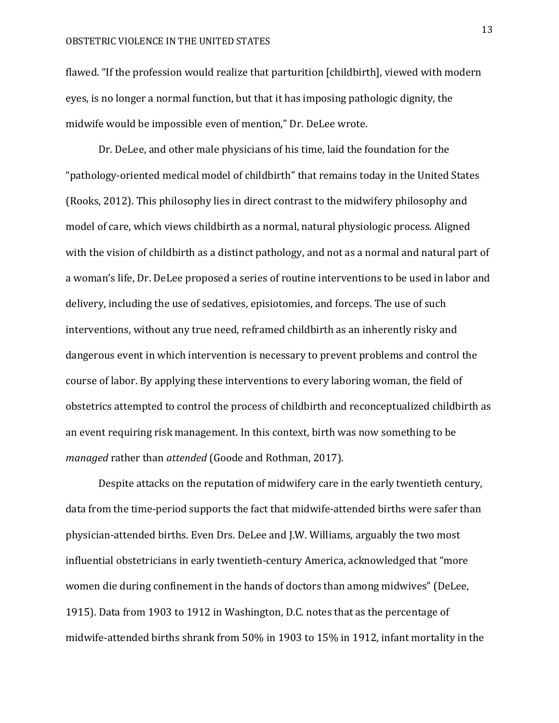flawed. "If the profession would realize that parturition [childbirth], viewed with modern eyes, is no longer a normal function, but that it has imposing pathologic dignity, the midwife would be impossible even of mention," Dr. DeLee wrote.

 Dr. DeLee, and other male physicians of his time, laid the foundation for the "pathology-oriented medical model of childbirth" that remains today in the United States (Rooks, 2012). This philosophy lies in direct contrast to the midwifery philosophy and model of care, which views childbirth as a normal, natural physiologic process. Aligned with the vision of childbirth as a distinct pathology, and not as a normal and natural part of a woman's life, Dr. DeLee proposed a series of routine interventions to be used in labor and delivery, including the use of sedatives, episiotomies, and forceps. The use of such interventions, without any true need, reframed childbirth as an inherently risky and dangerous event in which intervention is necessary to prevent problems and control the course of labor. By applying these interventions to every laboring woman, the field of obstetrics attempted to control the process of childbirth and reconceptualized childbirth as an event requiring risk management. In this context, birth was now something to be *managed* rather than *attended* (Goode and Rothman, 2017).

 Despite attacks on the reputation of midwifery care in the early twentieth century, data from the time-period supports the fact that midwife-attended births were safer than physician-attended births. Even Drs. DeLee and J.W. Williams, arguably the two most influential obstetricians in early twentieth-century America, acknowledged that "more women die during confinement in the hands of doctors than among midwives" (DeLee, 1915). Data from 1903 to 1912 in Washington, D.C. notes that as the percentage of midwife-attended births shrank from 50% in 1903 to 15% in 1912, infant mortality in the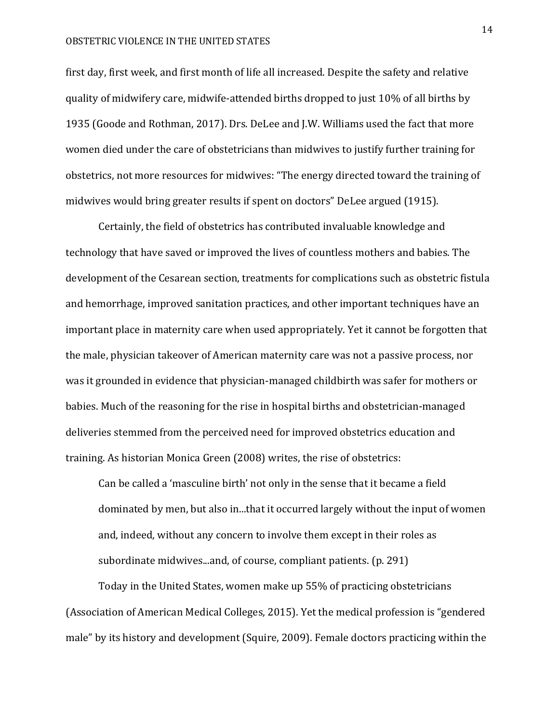#### OBSTETRIC VIOLENCE IN THE UNITED STATES

first day, first week, and first month of life all increased. Despite the safety and relative quality of midwifery care, midwife-attended births dropped to just 10% of all births by 1935 (Goode and Rothman, 2017). Drs. DeLee and J.W. Williams used the fact that more women died under the care of obstetricians than midwives to justify further training for obstetrics, not more resources for midwives: "The energy directed toward the training of midwives would bring greater results if spent on doctors" DeLee argued (1915).

 Certainly, the field of obstetrics has contributed invaluable knowledge and technology that have saved or improved the lives of countless mothers and babies. The development of the Cesarean section, treatments for complications such as obstetric fistula and hemorrhage, improved sanitation practices, and other important techniques have an important place in maternity care when used appropriately. Yet it cannot be forgotten that the male, physician takeover of American maternity care was not a passive process, nor was it grounded in evidence that physician-managed childbirth was safer for mothers or babies. Much of the reasoning for the rise in hospital births and obstetrician-managed deliveries stemmed from the perceived need for improved obstetrics education and training. As historian Monica Green (2008) writes, the rise of obstetrics:

Can be called a 'masculine birth' not only in the sense that it became a field dominated by men, but also in...that it occurred largely without the input of women and, indeed, without any concern to involve them except in their roles as subordinate midwives...and, of course, compliant patients. (p. 291)

Today in the United States, women make up 55% of practicing obstetricians (Association of American Medical Colleges, 2015). Yet the medical profession is "gendered male" by its history and development (Squire, 2009). Female doctors practicing within the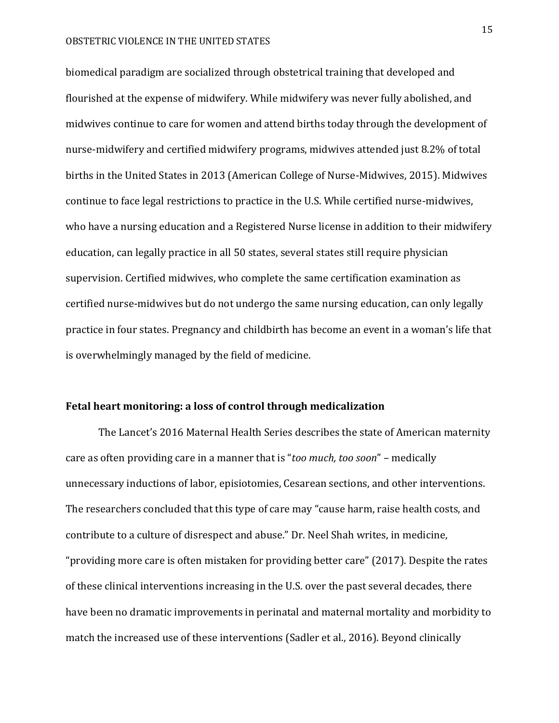#### OBSTETRIC VIOLENCE IN THE UNITED STATES

biomedical paradigm are socialized through obstetrical training that developed and flourished at the expense of midwifery. While midwifery was never fully abolished, and midwives continue to care for women and attend births today through the development of nurse-midwifery and certified midwifery programs, midwives attended just 8.2% of total births in the United States in 2013 (American College of Nurse-Midwives, 2015). Midwives continue to face legal restrictions to practice in the U.S. While certified nurse-midwives, who have a nursing education and a Registered Nurse license in addition to their midwifery education, can legally practice in all 50 states, several states still require physician supervision. Certified midwives, who complete the same certification examination as certified nurse-midwives but do not undergo the same nursing education, can only legally practice in four states. Pregnancy and childbirth has become an event in a woman's life that is overwhelmingly managed by the field of medicine.

## **Fetal heart monitoring: a loss of control through medicalization**

 The Lancet's 2016 Maternal Health Series describes the state of American maternity care as often providing care in a manner that is "*too much, too soon*" – medically unnecessary inductions of labor, episiotomies, Cesarean sections, and other interventions. The researchers concluded that this type of care may "cause harm, raise health costs, and contribute to a culture of disrespect and abuse." Dr. Neel Shah writes, in medicine, "providing more care is often mistaken for providing better care" (2017). Despite the rates of these clinical interventions increasing in the U.S. over the past several decades, there have been no dramatic improvements in perinatal and maternal mortality and morbidity to match the increased use of these interventions (Sadler et al., 2016). Beyond clinically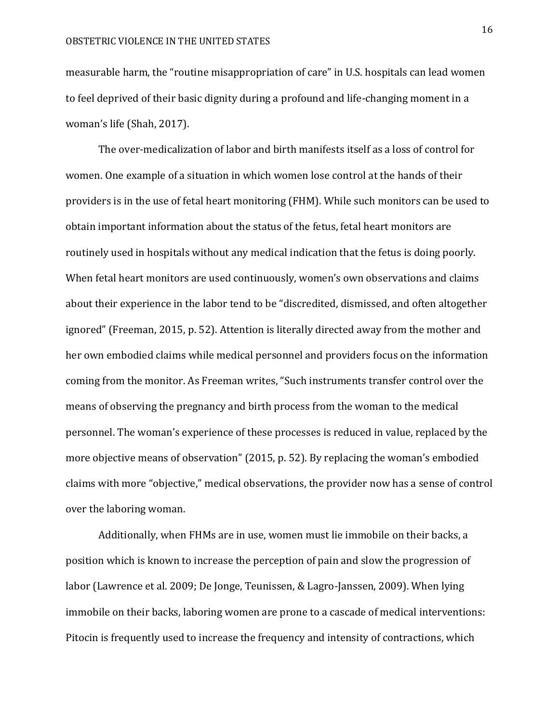measurable harm, the "routine misappropriation of care" in U.S. hospitals can lead women to feel deprived of their basic dignity during a profound and life-changing moment in a woman's life (Shah, 2017).

 The over-medicalization of labor and birth manifests itself as a loss of control for women. One example of a situation in which women lose control at the hands of their providers is in the use of fetal heart monitoring (FHM). While such monitors can be used to obtain important information about the status of the fetus, fetal heart monitors are routinely used in hospitals without any medical indication that the fetus is doing poorly. When fetal heart monitors are used continuously, women's own observations and claims about their experience in the labor tend to be "discredited, dismissed, and often altogether ignored" (Freeman, 2015, p. 52). Attention is literally directed away from the mother and her own embodied claims while medical personnel and providers focus on the information coming from the monitor. As Freeman writes, "Such instruments transfer control over the means of observing the pregnancy and birth process from the woman to the medical personnel. The woman's experience of these processes is reduced in value, replaced by the more objective means of observation" (2015, p. 52). By replacing the woman's embodied claims with more "objective," medical observations, the provider now has a sense of control over the laboring woman.

 Additionally, when FHMs are in use, women must lie immobile on their backs, a position which is known to increase the perception of pain and slow the progression of labor (Lawrence et al. 2009; De Jonge, Teunissen, & Lagro-Janssen, 2009). When lying immobile on their backs, laboring women are prone to a cascade of medical interventions: Pitocin is frequently used to increase the frequency and intensity of contractions, which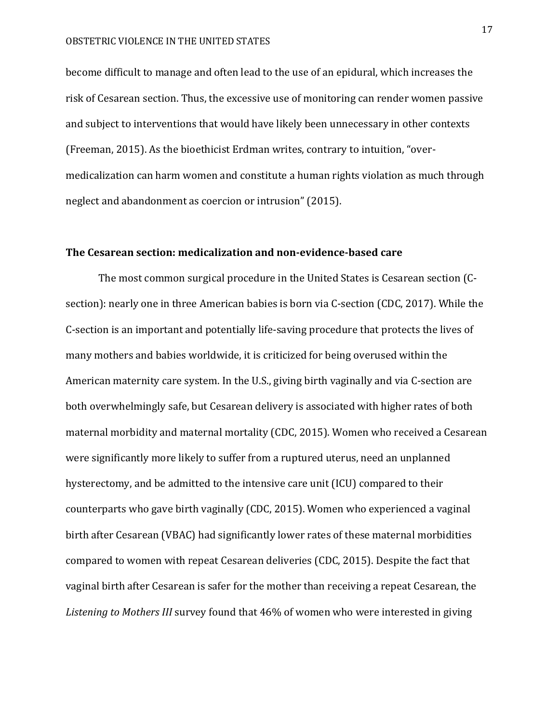become difficult to manage and often lead to the use of an epidural, which increases the risk of Cesarean section. Thus, the excessive use of monitoring can render women passive and subject to interventions that would have likely been unnecessary in other contexts (Freeman, 2015). As the bioethicist Erdman writes, contrary to intuition, "overmedicalization can harm women and constitute a human rights violation as much through neglect and abandonment as coercion or intrusion" (2015).

## **The Cesarean section: medicalization and non-evidence-based care**

The most common surgical procedure in the United States is Cesarean section (Csection): nearly one in three American babies is born via C-section (CDC, 2017). While the C-section is an important and potentially life-saving procedure that protects the lives of many mothers and babies worldwide, it is criticized for being overused within the American maternity care system. In the U.S., giving birth vaginally and via C-section are both overwhelmingly safe, but Cesarean delivery is associated with higher rates of both maternal morbidity and maternal mortality (CDC, 2015). Women who received a Cesarean were significantly more likely to suffer from a ruptured uterus, need an unplanned hysterectomy, and be admitted to the intensive care unit (ICU) compared to their counterparts who gave birth vaginally (CDC, 2015). Women who experienced a vaginal birth after Cesarean (VBAC) had significantly lower rates of these maternal morbidities compared to women with repeat Cesarean deliveries (CDC, 2015). Despite the fact that vaginal birth after Cesarean is safer for the mother than receiving a repeat Cesarean, the *Listening to Mothers III* survey found that 46% of women who were interested in giving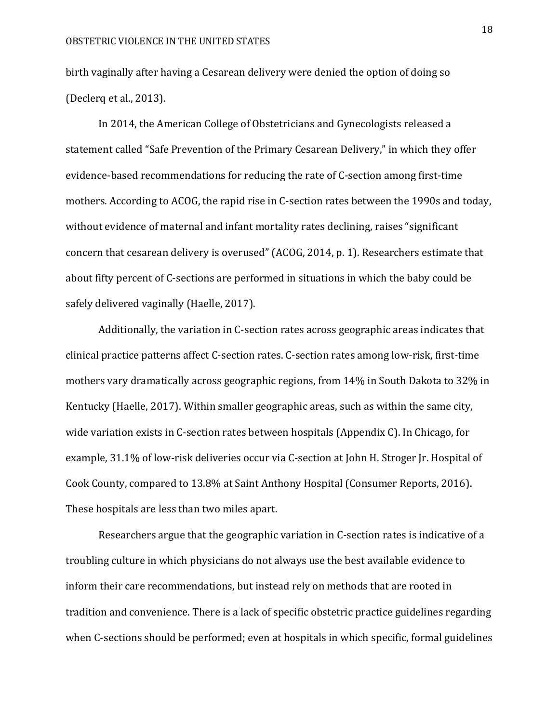birth vaginally after having a Cesarean delivery were denied the option of doing so (Declerq et al., 2013).

In 2014, the American College of Obstetricians and Gynecologists released a statement called "Safe Prevention of the Primary Cesarean Delivery," in which they offer evidence-based recommendations for reducing the rate of C-section among first-time mothers. According to ACOG, the rapid rise in C-section rates between the 1990s and today, without evidence of maternal and infant mortality rates declining, raises "significant concern that cesarean delivery is overused" (ACOG, 2014, p. 1). Researchers estimate that about fifty percent of C-sections are performed in situations in which the baby could be safely delivered vaginally (Haelle, 2017).

Additionally, the variation in C-section rates across geographic areas indicates that clinical practice patterns affect C-section rates. C-section rates among low-risk, first-time mothers vary dramatically across geographic regions, from 14% in South Dakota to 32% in Kentucky (Haelle, 2017). Within smaller geographic areas, such as within the same city, wide variation exists in C-section rates between hospitals (Appendix C). In Chicago, for example, 31.1% of low-risk deliveries occur via C-section at John H. Stroger Jr. Hospital of Cook County, compared to 13.8% at Saint Anthony Hospital (Consumer Reports, 2016). These hospitals are less than two miles apart.

Researchers argue that the geographic variation in C-section rates is indicative of a troubling culture in which physicians do not always use the best available evidence to inform their care recommendations, but instead rely on methods that are rooted in tradition and convenience. There is a lack of specific obstetric practice guidelines regarding when C-sections should be performed; even at hospitals in which specific, formal guidelines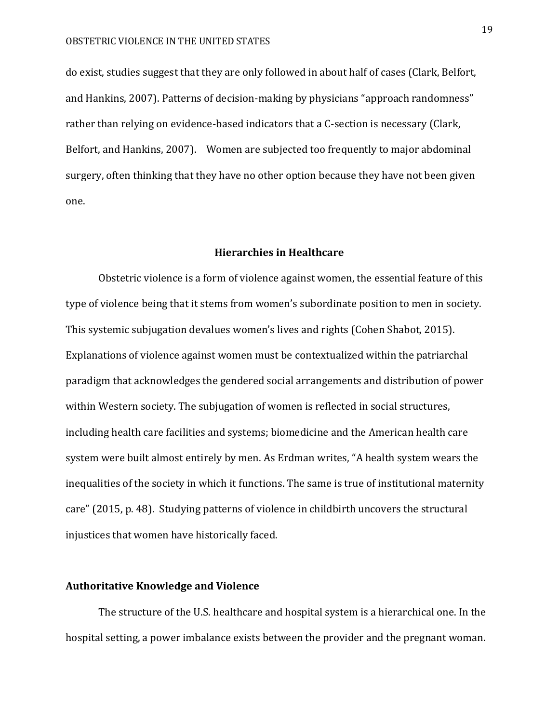do exist, studies suggest that they are only followed in about half of cases (Clark, Belfort, and Hankins, 2007). Patterns of decision-making by physicians "approach randomness" rather than relying on evidence-based indicators that a C-section is necessary (Clark, Belfort, and Hankins, 2007). Women are subjected too frequently to major abdominal surgery, often thinking that they have no other option because they have not been given one.

### **Hierarchies in Healthcare**

Obstetric violence is a form of violence against women, the essential feature of this type of violence being that it stems from women's subordinate position to men in society. This systemic subjugation devalues women's lives and rights (Cohen Shabot, 2015). Explanations of violence against women must be contextualized within the patriarchal paradigm that acknowledges the gendered social arrangements and distribution of power within Western society. The subjugation of women is reflected in social structures, including health care facilities and systems; biomedicine and the American health care system were built almost entirely by men. As Erdman writes, "A health system wears the inequalities of the society in which it functions. The same is true of institutional maternity care" (2015, p. 48). Studying patterns of violence in childbirth uncovers the structural injustices that women have historically faced.

## **Authoritative Knowledge and Violence**

The structure of the U.S. healthcare and hospital system is a hierarchical one. In the hospital setting, a power imbalance exists between the provider and the pregnant woman.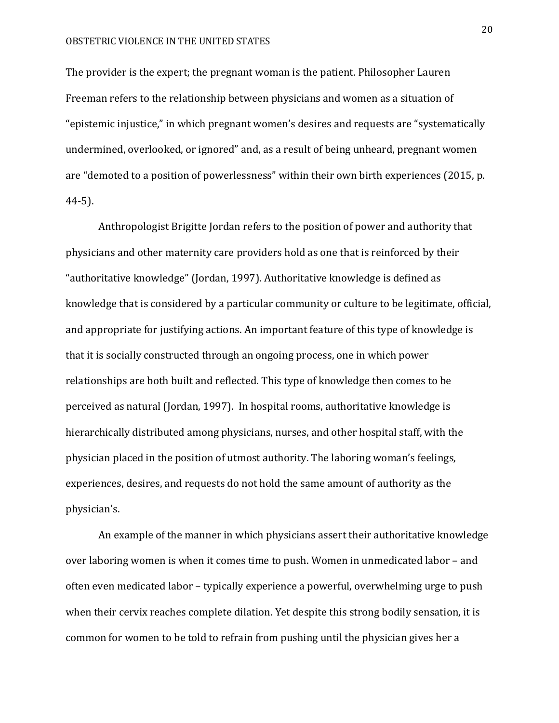#### OBSTETRIC VIOLENCE IN THE UNITED STATES

The provider is the expert; the pregnant woman is the patient. Philosopher Lauren Freeman refers to the relationship between physicians and women as a situation of "epistemic injustice," in which pregnant women's desires and requests are "systematically undermined, overlooked, or ignored" and, as a result of being unheard, pregnant women are "demoted to a position of powerlessness" within their own birth experiences (2015, p. 44-5).

Anthropologist Brigitte Jordan refers to the position of power and authority that physicians and other maternity care providers hold as one that is reinforced by their "authoritative knowledge" (Jordan, 1997). Authoritative knowledge is defined as knowledge that is considered by a particular community or culture to be legitimate, official, and appropriate for justifying actions. An important feature of this type of knowledge is that it is socially constructed through an ongoing process, one in which power relationships are both built and reflected. This type of knowledge then comes to be perceived as natural (Jordan, 1997). In hospital rooms, authoritative knowledge is hierarchically distributed among physicians, nurses, and other hospital staff, with the physician placed in the position of utmost authority. The laboring woman's feelings, experiences, desires, and requests do not hold the same amount of authority as the physician's.

An example of the manner in which physicians assert their authoritative knowledge over laboring women is when it comes time to push. Women in unmedicated labor – and often even medicated labor – typically experience a powerful, overwhelming urge to push when their cervix reaches complete dilation. Yet despite this strong bodily sensation, it is common for women to be told to refrain from pushing until the physician gives her a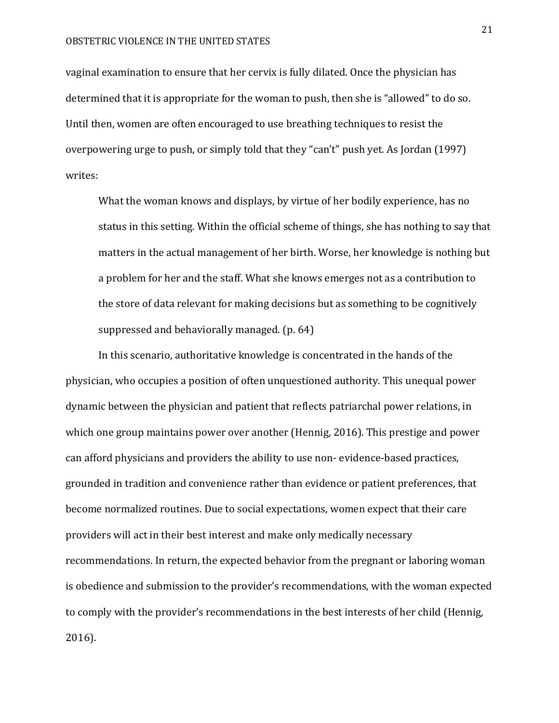vaginal examination to ensure that her cervix is fully dilated. Once the physician has determined that it is appropriate for the woman to push, then she is "allowed" to do so. Until then, women are often encouraged to use breathing techniques to resist the overpowering urge to push, or simply told that they "can't" push yet. As Jordan (1997) writes:

What the woman knows and displays, by virtue of her bodily experience, has no status in this setting. Within the official scheme of things, she has nothing to say that matters in the actual management of her birth. Worse, her knowledge is nothing but a problem for her and the staff. What she knows emerges not as a contribution to the store of data relevant for making decisions but as something to be cognitively suppressed and behaviorally managed. (p. 64)

In this scenario, authoritative knowledge is concentrated in the hands of the physician, who occupies a position of often unquestioned authority. This unequal power dynamic between the physician and patient that reflects patriarchal power relations, in which one group maintains power over another (Hennig, 2016). This prestige and power can afford physicians and providers the ability to use non- evidence-based practices, grounded in tradition and convenience rather than evidence or patient preferences, that become normalized routines. Due to social expectations, women expect that their care providers will act in their best interest and make only medically necessary recommendations. In return, the expected behavior from the pregnant or laboring woman is obedience and submission to the provider's recommendations, with the woman expected to comply with the provider's recommendations in the best interests of her child (Hennig, 2016).

21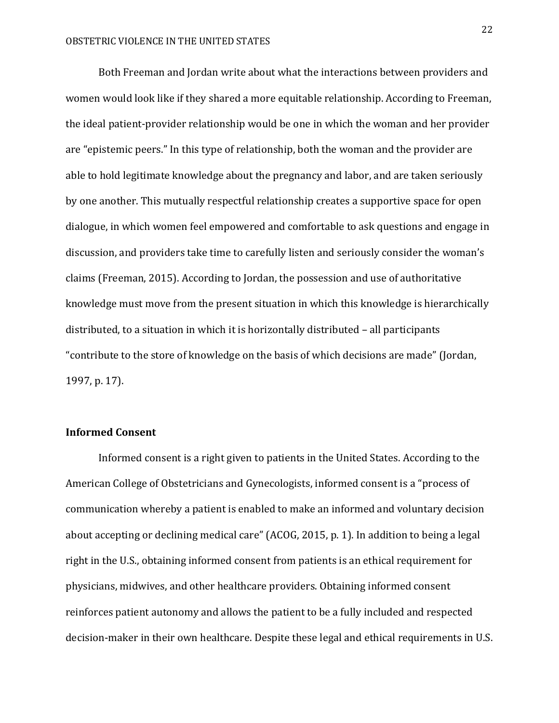Both Freeman and Jordan write about what the interactions between providers and women would look like if they shared a more equitable relationship. According to Freeman, the ideal patient-provider relationship would be one in which the woman and her provider are "epistemic peers." In this type of relationship, both the woman and the provider are able to hold legitimate knowledge about the pregnancy and labor, and are taken seriously by one another. This mutually respectful relationship creates a supportive space for open dialogue, in which women feel empowered and comfortable to ask questions and engage in discussion, and providers take time to carefully listen and seriously consider the woman's claims (Freeman, 2015). According to Jordan, the possession and use of authoritative knowledge must move from the present situation in which this knowledge is hierarchically distributed, to a situation in which it is horizontally distributed – all participants "contribute to the store of knowledge on the basis of which decisions are made" (Jordan, 1997, p. 17).

# **Informed Consent**

Informed consent is a right given to patients in the United States. According to the American College of Obstetricians and Gynecologists, informed consent is a "process of communication whereby a patient is enabled to make an informed and voluntary decision about accepting or declining medical care" (ACOG, 2015, p. 1). In addition to being a legal right in the U.S., obtaining informed consent from patients is an ethical requirement for physicians, midwives, and other healthcare providers. Obtaining informed consent reinforces patient autonomy and allows the patient to be a fully included and respected decision-maker in their own healthcare. Despite these legal and ethical requirements in U.S.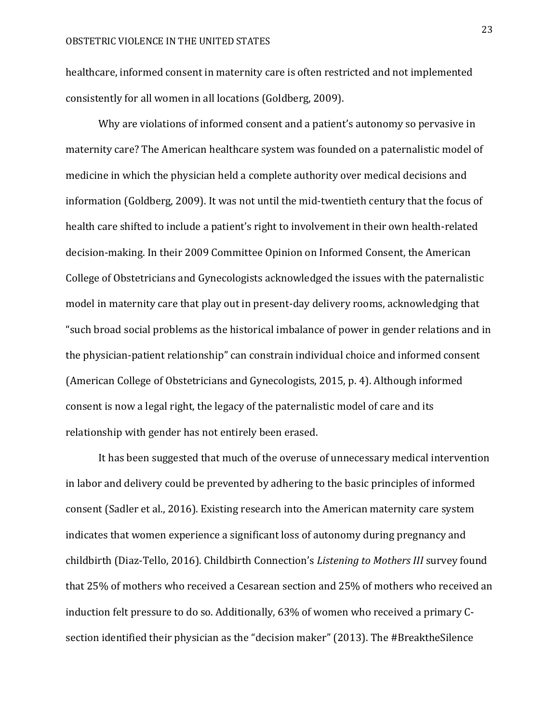healthcare, informed consent in maternity care is often restricted and not implemented consistently for all women in all locations (Goldberg, 2009).

Why are violations of informed consent and a patient's autonomy so pervasive in maternity care? The American healthcare system was founded on a paternalistic model of medicine in which the physician held a complete authority over medical decisions and information (Goldberg, 2009). It was not until the mid-twentieth century that the focus of health care shifted to include a patient's right to involvement in their own health-related decision-making. In their 2009 Committee Opinion on Informed Consent, the American College of Obstetricians and Gynecologists acknowledged the issues with the paternalistic model in maternity care that play out in present-day delivery rooms, acknowledging that "such broad social problems as the historical imbalance of power in gender relations and in the physician-patient relationship" can constrain individual choice and informed consent (American College of Obstetricians and Gynecologists, 2015, p. 4). Although informed consent is now a legal right, the legacy of the paternalistic model of care and its relationship with gender has not entirely been erased.

It has been suggested that much of the overuse of unnecessary medical intervention in labor and delivery could be prevented by adhering to the basic principles of informed consent (Sadler et al., 2016). Existing research into the American maternity care system indicates that women experience a significant loss of autonomy during pregnancy and childbirth (Diaz-Tello, 2016). Childbirth Connection's *Listening to Mothers III* survey found that 25% of mothers who received a Cesarean section and 25% of mothers who received an induction felt pressure to do so. Additionally, 63% of women who received a primary Csection identified their physician as the "decision maker" (2013). The #BreaktheSilence

23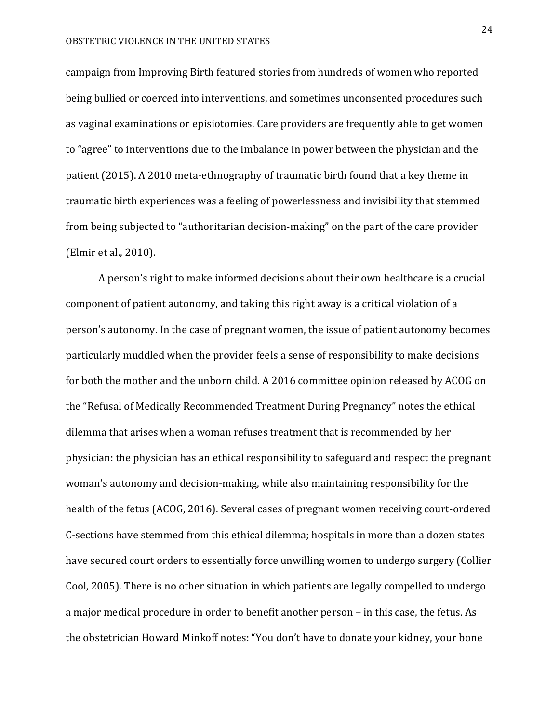campaign from Improving Birth featured stories from hundreds of women who reported being bullied or coerced into interventions, and sometimes unconsented procedures such as vaginal examinations or episiotomies. Care providers are frequently able to get women to "agree" to interventions due to the imbalance in power between the physician and the patient (2015). A 2010 meta-ethnography of traumatic birth found that a key theme in traumatic birth experiences was a feeling of powerlessness and invisibility that stemmed from being subjected to "authoritarian decision-making" on the part of the care provider (Elmir et al., 2010).

A person's right to make informed decisions about their own healthcare is a crucial component of patient autonomy, and taking this right away is a critical violation of a person's autonomy. In the case of pregnant women, the issue of patient autonomy becomes particularly muddled when the provider feels a sense of responsibility to make decisions for both the mother and the unborn child. A 2016 committee opinion released by ACOG on the "Refusal of Medically Recommended Treatment During Pregnancy" notes the ethical dilemma that arises when a woman refuses treatment that is recommended by her physician: the physician has an ethical responsibility to safeguard and respect the pregnant woman's autonomy and decision-making, while also maintaining responsibility for the health of the fetus (ACOG, 2016). Several cases of pregnant women receiving court-ordered C-sections have stemmed from this ethical dilemma; hospitals in more than a dozen states have secured court orders to essentially force unwilling women to undergo surgery (Collier Cool, 2005). There is no other situation in which patients are legally compelled to undergo a major medical procedure in order to benefit another person – in this case, the fetus. As the obstetrician Howard Minkoff notes: "You don't have to donate your kidney, your bone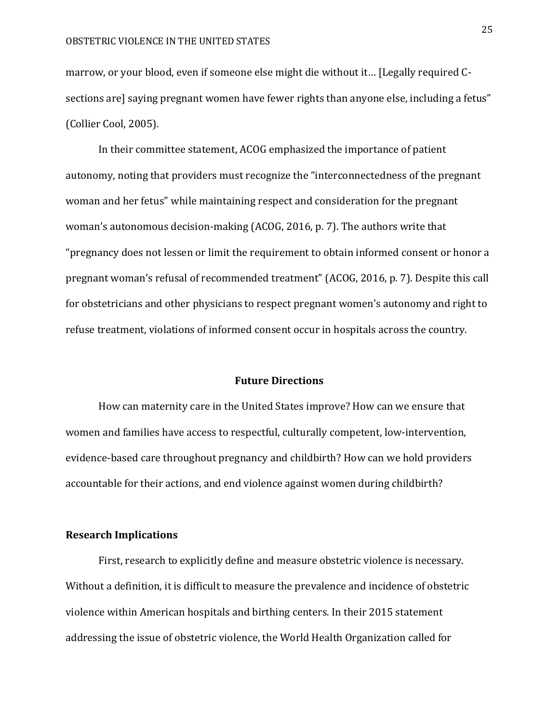marrow, or your blood, even if someone else might die without it… [Legally required Csections are] saying pregnant women have fewer rights than anyone else, including a fetus" (Collier Cool, 2005).

In their committee statement, ACOG emphasized the importance of patient autonomy, noting that providers must recognize the "interconnectedness of the pregnant woman and her fetus" while maintaining respect and consideration for the pregnant woman's autonomous decision-making (ACOG, 2016, p. 7). The authors write that "pregnancy does not lessen or limit the requirement to obtain informed consent or honor a pregnant woman's refusal of recommended treatment" (ACOG, 2016, p. 7). Despite this call for obstetricians and other physicians to respect pregnant women's autonomy and right to refuse treatment, violations of informed consent occur in hospitals across the country.

#### **Future Directions**

How can maternity care in the United States improve? How can we ensure that women and families have access to respectful, culturally competent, low-intervention, evidence-based care throughout pregnancy and childbirth? How can we hold providers accountable for their actions, and end violence against women during childbirth?

### **Research Implications**

First, research to explicitly define and measure obstetric violence is necessary. Without a definition, it is difficult to measure the prevalence and incidence of obstetric violence within American hospitals and birthing centers. In their 2015 statement addressing the issue of obstetric violence, the World Health Organization called for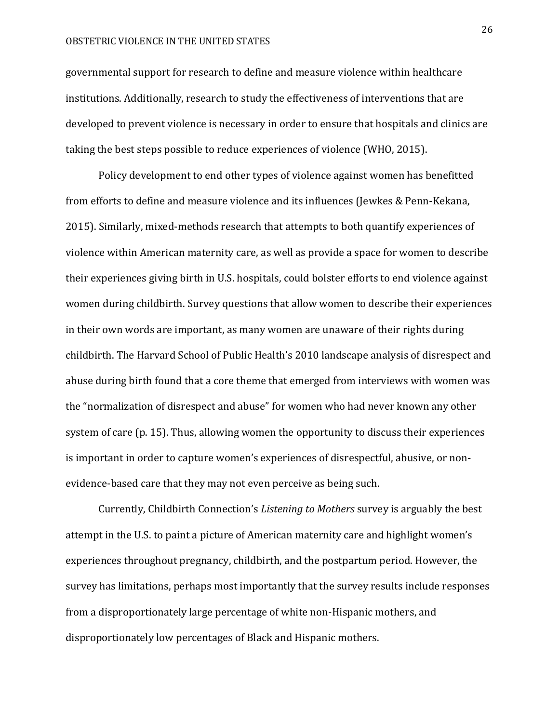#### OBSTETRIC VIOLENCE IN THE UNITED STATES

governmental support for research to define and measure violence within healthcare institutions. Additionally, research to study the effectiveness of interventions that are developed to prevent violence is necessary in order to ensure that hospitals and clinics are taking the best steps possible to reduce experiences of violence (WHO, 2015).

Policy development to end other types of violence against women has benefitted from efforts to define and measure violence and its influences (Jewkes & Penn-Kekana, 2015). Similarly, mixed-methods research that attempts to both quantify experiences of violence within American maternity care, as well as provide a space for women to describe their experiences giving birth in U.S. hospitals, could bolster efforts to end violence against women during childbirth. Survey questions that allow women to describe their experiences in their own words are important, as many women are unaware of their rights during childbirth. The Harvard School of Public Health's 2010 landscape analysis of disrespect and abuse during birth found that a core theme that emerged from interviews with women was the "normalization of disrespect and abuse" for women who had never known any other system of care (p. 15). Thus, allowing women the opportunity to discuss their experiences is important in order to capture women's experiences of disrespectful, abusive, or nonevidence-based care that they may not even perceive as being such.

Currently, Childbirth Connection's *Listening to Mothers* survey is arguably the best attempt in the U.S. to paint a picture of American maternity care and highlight women's experiences throughout pregnancy, childbirth, and the postpartum period. However, the survey has limitations, perhaps most importantly that the survey results include responses from a disproportionately large percentage of white non-Hispanic mothers, and disproportionately low percentages of Black and Hispanic mothers.

26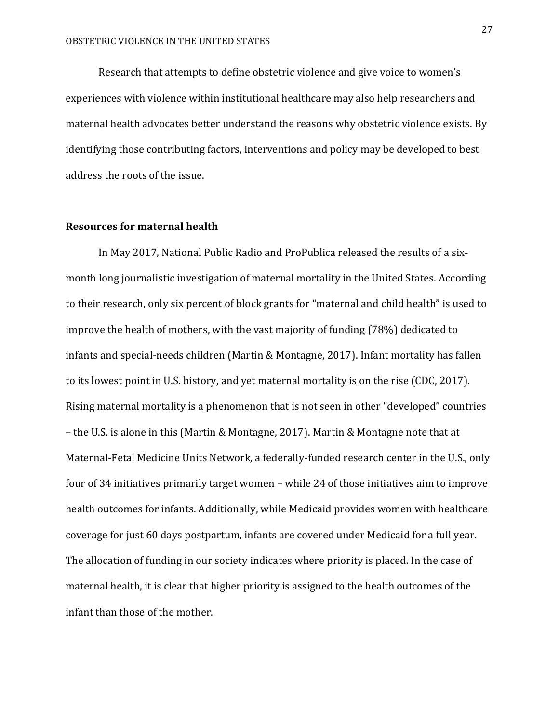Research that attempts to define obstetric violence and give voice to women's experiences with violence within institutional healthcare may also help researchers and maternal health advocates better understand the reasons why obstetric violence exists. By identifying those contributing factors, interventions and policy may be developed to best address the roots of the issue.

### **Resources for maternal health**

In May 2017, National Public Radio and ProPublica released the results of a sixmonth long journalistic investigation of maternal mortality in the United States. According to their research, only six percent of block grants for "maternal and child health" is used to improve the health of mothers, with the vast majority of funding (78%) dedicated to infants and special-needs children (Martin & Montagne, 2017). Infant mortality has fallen to its lowest point in U.S. history, and yet maternal mortality is on the rise (CDC, 2017). Rising maternal mortality is a phenomenon that is not seen in other "developed" countries – the U.S. is alone in this (Martin & Montagne, 2017). Martin & Montagne note that at Maternal-Fetal Medicine Units Network, a federally-funded research center in the U.S., only four of 34 initiatives primarily target women – while 24 of those initiatives aim to improve health outcomes for infants. Additionally, while Medicaid provides women with healthcare coverage for just 60 days postpartum, infants are covered under Medicaid for a full year. The allocation of funding in our society indicates where priority is placed. In the case of maternal health, it is clear that higher priority is assigned to the health outcomes of the infant than those of the mother.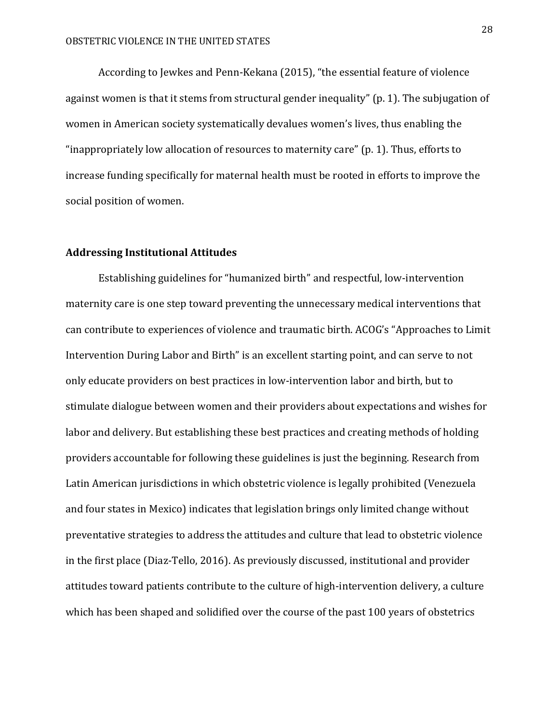According to Jewkes and Penn-Kekana (2015), "the essential feature of violence against women is that it stems from structural gender inequality" (p. 1). The subjugation of women in American society systematically devalues women's lives, thus enabling the "inappropriately low allocation of resources to maternity care" (p. 1). Thus, efforts to increase funding specifically for maternal health must be rooted in efforts to improve the social position of women.

## **Addressing Institutional Attitudes**

Establishing guidelines for "humanized birth" and respectful, low-intervention maternity care is one step toward preventing the unnecessary medical interventions that can contribute to experiences of violence and traumatic birth. ACOG's "Approaches to Limit Intervention During Labor and Birth" is an excellent starting point, and can serve to not only educate providers on best practices in low-intervention labor and birth, but to stimulate dialogue between women and their providers about expectations and wishes for labor and delivery. But establishing these best practices and creating methods of holding providers accountable for following these guidelines is just the beginning. Research from Latin American jurisdictions in which obstetric violence is legally prohibited (Venezuela and four states in Mexico) indicates that legislation brings only limited change without preventative strategies to address the attitudes and culture that lead to obstetric violence in the first place (Diaz-Tello, 2016). As previously discussed, institutional and provider attitudes toward patients contribute to the culture of high-intervention delivery, a culture which has been shaped and solidified over the course of the past 100 years of obstetrics

28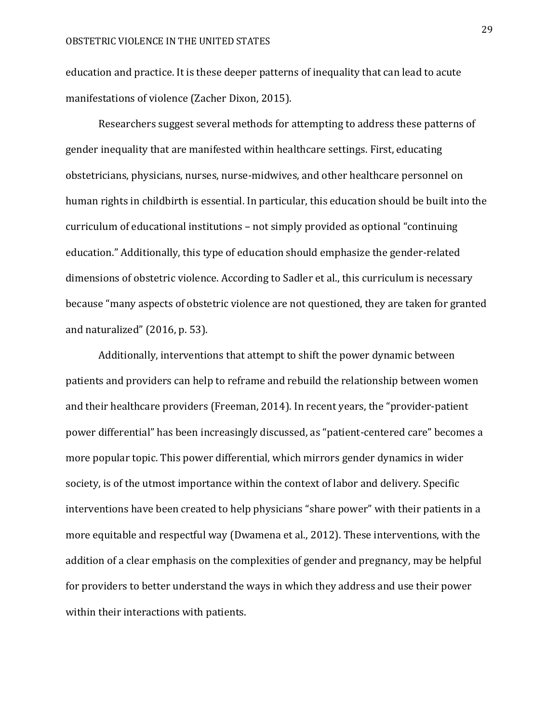education and practice. It is these deeper patterns of inequality that can lead to acute manifestations of violence (Zacher Dixon, 2015).

Researchers suggest several methods for attempting to address these patterns of gender inequality that are manifested within healthcare settings. First, educating obstetricians, physicians, nurses, nurse-midwives, and other healthcare personnel on human rights in childbirth is essential. In particular, this education should be built into the curriculum of educational institutions – not simply provided as optional "continuing education." Additionally, this type of education should emphasize the gender-related dimensions of obstetric violence. According to Sadler et al., this curriculum is necessary because "many aspects of obstetric violence are not questioned, they are taken for granted and naturalized" (2016, p. 53).

Additionally, interventions that attempt to shift the power dynamic between patients and providers can help to reframe and rebuild the relationship between women and their healthcare providers (Freeman, 2014). In recent years, the "provider-patient power differential" has been increasingly discussed, as "patient-centered care" becomes a more popular topic. This power differential, which mirrors gender dynamics in wider society, is of the utmost importance within the context of labor and delivery. Specific interventions have been created to help physicians "share power" with their patients in a more equitable and respectful way (Dwamena et al., 2012). These interventions, with the addition of a clear emphasis on the complexities of gender and pregnancy, may be helpful for providers to better understand the ways in which they address and use their power within their interactions with patients.

29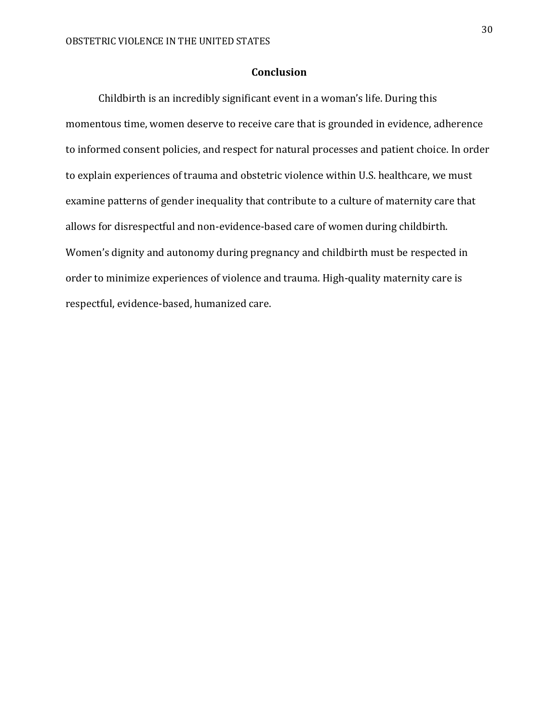## **Conclusion**

Childbirth is an incredibly significant event in a woman's life. During this momentous time, women deserve to receive care that is grounded in evidence, adherence to informed consent policies, and respect for natural processes and patient choice. In order to explain experiences of trauma and obstetric violence within U.S. healthcare, we must examine patterns of gender inequality that contribute to a culture of maternity care that allows for disrespectful and non-evidence-based care of women during childbirth. Women's dignity and autonomy during pregnancy and childbirth must be respected in order to minimize experiences of violence and trauma. High-quality maternity care is respectful, evidence-based, humanized care.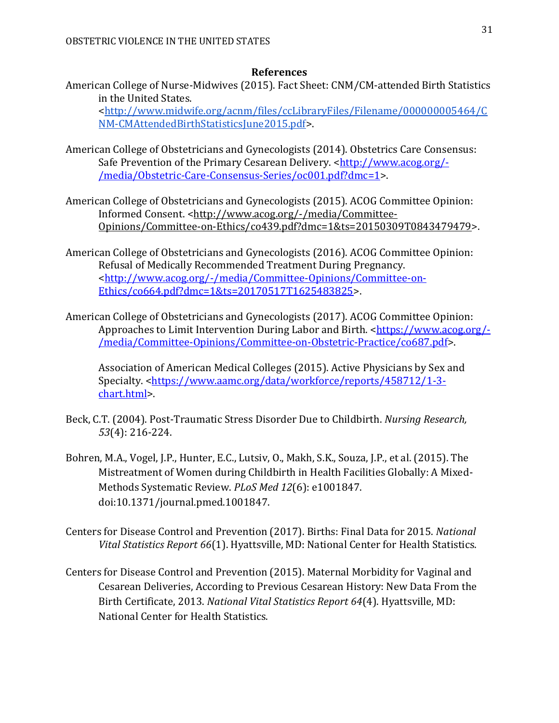## **References**

American College of Nurse-Midwives (2015). Fact Sheet: CNM/CM-attended Birth Statistics in the United States.

[<http://www.midwife.org/acnm/files/ccLibraryFiles/Filename/000000005464/C](http://www.midwife.org/acnm/files/ccLibraryFiles/Filename/000000005464/CNM-CMAttendedBirthStatisticsJune2015.pdf) [NM-CMAttendedBirthStatisticsJune2015.pdf>](http://www.midwife.org/acnm/files/ccLibraryFiles/Filename/000000005464/CNM-CMAttendedBirthStatisticsJune2015.pdf).

- American College of Obstetricians and Gynecologists (2014). Obstetrics Care Consensus: Safe Prevention of the Primary Cesarean Delivery. [<http://www.acog.org/-](http://www.acog.org/-/media/Obstetric-Care-Consensus-Series/oc001.pdf?dmc=1) [/media/Obstetric-Care-Consensus-Series/oc001.pdf?dmc=1>](http://www.acog.org/-/media/Obstetric-Care-Consensus-Series/oc001.pdf?dmc=1).
- American College of Obstetricians and Gynecologists (2015). ACOG Committee Opinion: Informed Consent. <http://www.acog.org/-/media/Committee-Opinions/Committee-on-Ethics/co439.pdf?dmc=1&ts=20150309T0843479479>.
- American College of Obstetricians and Gynecologists (2016). ACOG Committee Opinion: Refusal of Medically Recommended Treatment During Pregnancy. [<http://www.acog.org/-/media/Committee-Opinions/Committee-on-](http://www.acog.org/-/media/Committee-Opinions/Committee-on-Ethics/co664.pdf?dmc=1&ts=20170517T1625483825)[Ethics/co664.pdf?dmc=1&ts=20170517T1625483825>](http://www.acog.org/-/media/Committee-Opinions/Committee-on-Ethics/co664.pdf?dmc=1&ts=20170517T1625483825).
- American College of Obstetricians and Gynecologists (2017). ACOG Committee Opinion: Approaches to Limit Intervention During Labor and Birth. [<https://www.acog.org/-](https://www.acog.org/-/media/Committee-Opinions/Committee-on-Obstetric-Practice/co687.pdf) [/media/Committee-Opinions/Committee-on-Obstetric-Practice/co687.pdf>](https://www.acog.org/-/media/Committee-Opinions/Committee-on-Obstetric-Practice/co687.pdf).

Association of American Medical Colleges (2015). Active Physicians by Sex and Specialty. [<https://www.aamc.org/data/workforce/reports/458712/1-3](https://www.aamc.org/data/workforce/reports/458712/1-3-chart.html) [chart.html>](https://www.aamc.org/data/workforce/reports/458712/1-3-chart.html).

- Beck, C.T. (2004). Post-Traumatic Stress Disorder Due to Childbirth. *Nursing Research, 53*(4): 216-224.
- Bohren, M.A., Vogel, J.P., Hunter, E.C., Lutsiv, O., Makh, S.K., Souza, J.P., et al. (2015). The Mistreatment of Women during Childbirth in Health Facilities Globally: A Mixed-Methods Systematic Review. *PLoS Med 12*(6): e1001847. doi:10.1371/journal.pmed.1001847.
- Centers for Disease Control and Prevention (2017). Births: Final Data for 2015. *National Vital Statistics Report 66*(1). Hyattsville, MD: National Center for Health Statistics.
- Centers for Disease Control and Prevention (2015). Maternal Morbidity for Vaginal and Cesarean Deliveries, According to Previous Cesarean History: New Data From the Birth Certificate, 2013. *National Vital Statistics Report 64*(4). Hyattsville, MD: National Center for Health Statistics.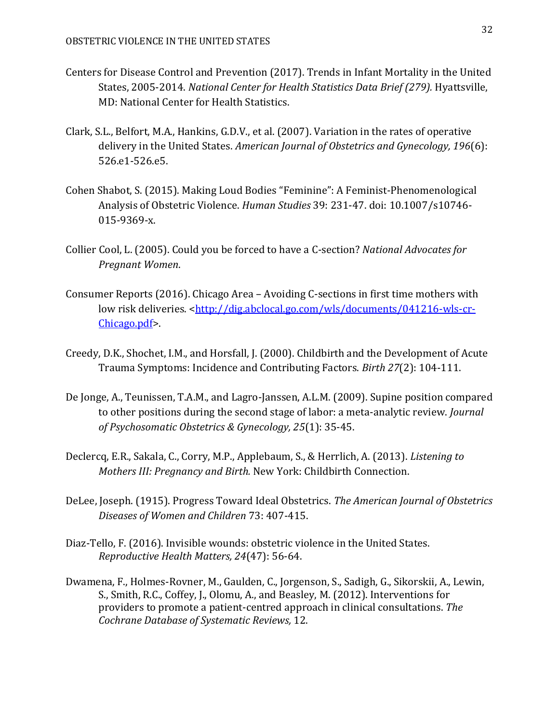- Centers for Disease Control and Prevention (2017). Trends in Infant Mortality in the United States, 2005-2014. *National Center for Health Statistics Data Brief (279).* Hyattsville, MD: National Center for Health Statistics.
- Clark, S.L., Belfort, M.A., Hankins, G.D.V., et al. (2007). Variation in the rates of operative delivery in the United States. *American Journal of Obstetrics and Gynecology, 196*(6): 526.e1-526.e5.
- Cohen Shabot, S. (2015). Making Loud Bodies "Feminine": A Feminist-Phenomenological Analysis of Obstetric Violence. *Human Studies* 39: 231-47. doi: 10.1007/s10746- 015-9369-x.
- Collier Cool, L. (2005). Could you be forced to have a C-section? *National Advocates for Pregnant Women*.
- Consumer Reports (2016). Chicago Area Avoiding C-sections in first time mothers with low risk deliveries. [<http://dig.abclocal.go.com/wls/documents/041216-wls-cr-](http://dig.abclocal.go.com/wls/documents/041216-wls-cr-Chicago.pdf)[Chicago.pdf>](http://dig.abclocal.go.com/wls/documents/041216-wls-cr-Chicago.pdf).
- Creedy, D.K., Shochet, I.M., and Horsfall, J. (2000). Childbirth and the Development of Acute Trauma Symptoms: Incidence and Contributing Factors. *Birth 27*(2): 104-111.
- De Jonge, A., Teunissen, T.A.M., and Lagro-Janssen, A.L.M. (2009). Supine position compared to other positions during the second stage of labor: a meta-analytic review. *Journal of Psychosomatic Obstetrics & Gynecology, 25*(1): 35-45.
- Declercq, E.R., Sakala, C., Corry, M.P., Applebaum, S., & Herrlich, A. (2013). *Listening to Mothers III: Pregnancy and Birth.* New York: Childbirth Connection.
- DeLee, Joseph. (1915). Progress Toward Ideal Obstetrics. *The American Journal of Obstetrics Diseases of Women and Children* 73: 407-415.
- Diaz-Tello, F. (2016). Invisible wounds: obstetric violence in the United States. *Reproductive Health Matters, 24*(47): 56-64.
- Dwamena, F., Holmes-Rovner, M., Gaulden, C., Jorgenson, S., Sadigh, G., Sikorskii, A., Lewin, S., Smith, R.C., Coffey, J., Olomu, A., and Beasley, M. (2012). Interventions for providers to promote a patient-centred approach in clinical consultations. *The Cochrane Database of Systematic Reviews,* 12.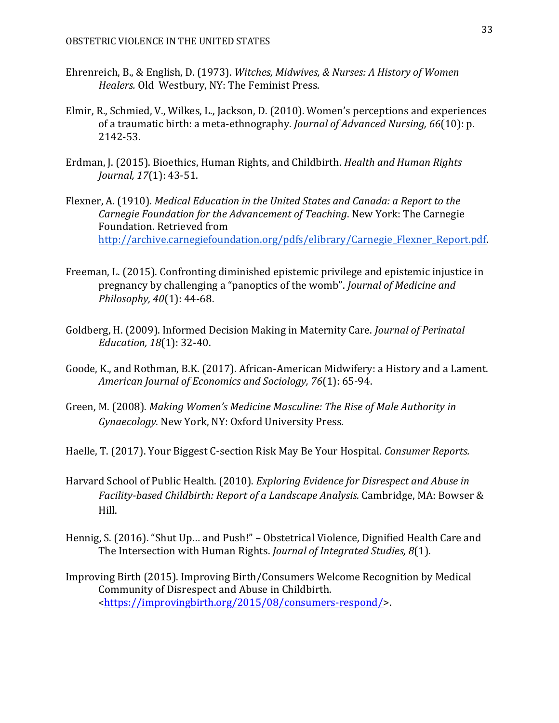- Ehrenreich, B., & English, D. (1973). *Witches, Midwives, & Nurses: A History of Women Healers.* Old Westbury, NY: The Feminist Press.
- Elmir, R., Schmied, V., Wilkes, L., Jackson, D. (2010). Women's perceptions and experiences of a traumatic birth: a meta-ethnography. *Journal of Advanced Nursing, 66*(10): p. 2142-53.
- Erdman, J. (2015). Bioethics, Human Rights, and Childbirth. *Health and Human Rights Journal, 17*(1): 43-51.
- Flexner, A. (1910). *Medical Education in the United States and Canada: a Report to the Carnegie Foundation for the Advancement of Teaching*. New York: The Carnegie Foundation. Retrieved from http://archive.carnegiefoundation.org/pdfs/elibrary/Carnegie Flexner Report.pdf.
- Freeman, L. (2015). Confronting diminished epistemic privilege and epistemic injustice in pregnancy by challenging a "panoptics of the womb". *Journal of Medicine and Philosophy, 40*(1): 44-68.
- Goldberg, H. (2009). Informed Decision Making in Maternity Care. *Journal of Perinatal Education, 18*(1): 32-40.
- Goode, K., and Rothman, B.K. (2017). African-American Midwifery: a History and a Lament. *American Journal of Economics and Sociology, 76*(1): 65-94.
- Green, M. (2008). *Making Women's Medicine Masculine: The Rise of Male Authority in Gynaecology.* New York, NY: Oxford University Press.
- Haelle, T. (2017). Your Biggest C-section Risk May Be Your Hospital. *Consumer Reports.*
- Harvard School of Public Health. (2010). *Exploring Evidence for Disrespect and Abuse in Facility-based Childbirth: Report of a Landscape Analysis.* Cambridge, MA: Bowser & Hill.
- Hennig, S. (2016). "Shut Up… and Push!" Obstetrical Violence, Dignified Health Care and The Intersection with Human Rights. *Journal of Integrated Studies, 8*(1).
- Improving Birth (2015). Improving Birth/Consumers Welcome Recognition by Medical Community of Disrespect and Abuse in Childbirth. <[https://improvingbirth.org/2015/08/consumers-respond/>](https://improvingbirth.org/2015/08/consumers-respond/).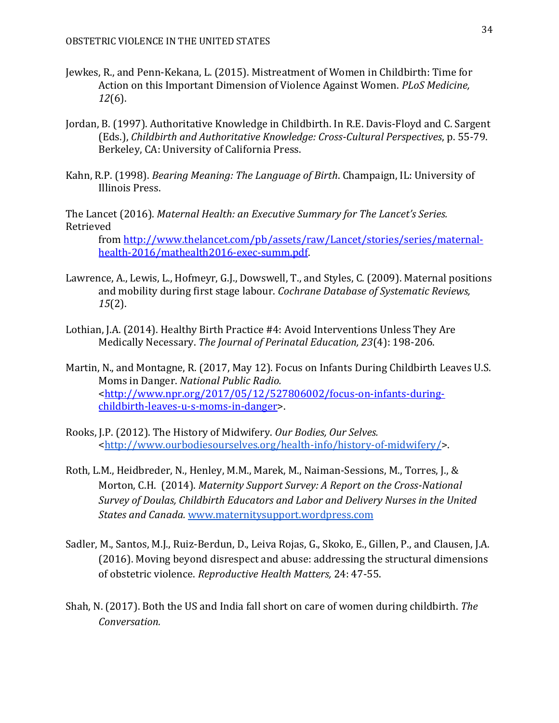- Jewkes, R., and Penn-Kekana, L. (2015). Mistreatment of Women in Childbirth: Time for Action on this Important Dimension of Violence Against Women. *PLoS Medicine, 12*(6).
- Jordan, B. (1997). Authoritative Knowledge in Childbirth. In R.E. Davis-Floyd and C. Sargent (Eds.), *Childbirth and Authoritative Knowledge: Cross-Cultural Perspectives*, p. 55-79. Berkeley, CA: University of California Press.
- Kahn, R.P. (1998). *Bearing Meaning: The Language of Birth*. Champaign, IL: University of Illinois Press.
- The Lancet (2016). *Maternal Health: an Executive Summary for The Lancet's Series.* Retrieved

from [http://www.thelancet.com/pb/assets/raw/Lancet/stories/series/maternal](http://www.thelancet.com/pb/assets/raw/Lancet/stories/series/maternal-health-2016/mathealth2016-exec-summ.pdf)[health-2016/mathealth2016-exec-summ.pdf.](http://www.thelancet.com/pb/assets/raw/Lancet/stories/series/maternal-health-2016/mathealth2016-exec-summ.pdf)

- Lawrence, A., Lewis, L., Hofmeyr, G.J., Dowswell, T., and Styles, C. (2009). Maternal positions and mobility during first stage labour. *Cochrane Database of Systematic Reviews, 15*(2).
- Lothian, J.A. (2014). Healthy Birth Practice #4: Avoid Interventions Unless They Are Medically Necessary. *The Journal of Perinatal Education, 23*(4): 198-206.
- Martin, N., and Montagne, R. (2017, May 12). Focus on Infants During Childbirth Leaves U.S. Moms in Danger. *National Public Radio.* [<http://www.npr.org/2017/05/12/527806002/focus-on-infants-during](http://www.npr.org/2017/05/12/527806002/focus-on-infants-during-childbirth-leaves-u-s-moms-in-danger)[childbirth-leaves-u-s-moms-in-danger>](http://www.npr.org/2017/05/12/527806002/focus-on-infants-during-childbirth-leaves-u-s-moms-in-danger).
- Rooks, J.P. (2012). The History of Midwifery. *Our Bodies, Our Selves.*  [<http://www.ourbodiesourselves.org/health-info/history-of-midwifery/>](http://www.ourbodiesourselves.org/health-info/history-of-midwifery/).
- Roth, L.M., Heidbreder, N., Henley, M.M., Marek, M., Naiman-Sessions, M., Torres, J., & Morton, C.H. (2014). *Maternity Support Survey: A Report on the Cross-National Survey of Doulas, Childbirth Educators and Labor and Delivery Nurses in the United States and Canada.* [www.maternitysupport.wordpress.com](http://www.maternitysupport.wordpress.com/)
- Sadler, M., Santos, M.J., Ruiz-Berdun, D., Leiva Rojas, G., Skoko, E., Gillen, P., and Clausen, J.A. (2016). Moving beyond disrespect and abuse: addressing the structural dimensions of obstetric violence. *Reproductive Health Matters,* 24: 47-55.
- Shah, N. (2017). Both the US and India fall short on care of women during childbirth. *The Conversation.*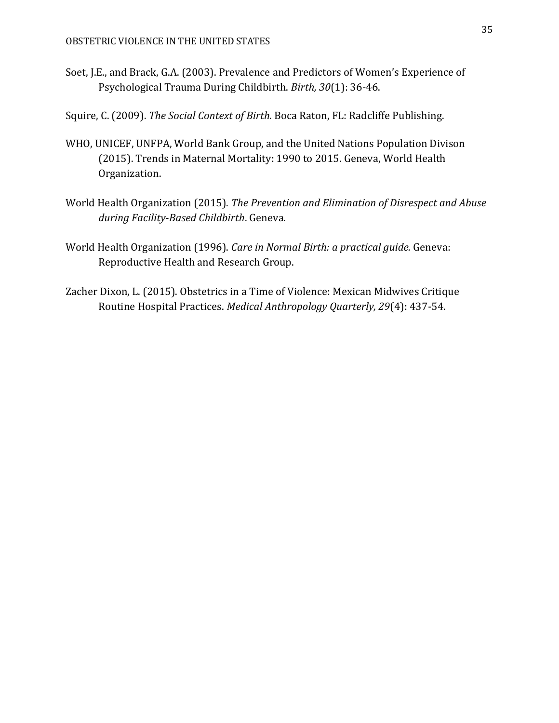- Soet, J.E., and Brack, G.A. (2003). Prevalence and Predictors of Women's Experience of Psychological Trauma During Childbirth. *Birth, 30*(1): 36-46.
- Squire, C. (2009). *The Social Context of Birth.* Boca Raton, FL: Radcliffe Publishing.
- WHO, UNICEF, UNFPA, World Bank Group, and the United Nations Population Divison (2015). Trends in Maternal Mortality: 1990 to 2015. Geneva, World Health Organization.
- World Health Organization (2015). *The Prevention and Elimination of Disrespect and Abuse during Facility-Based Childbirth*. Geneva.
- World Health Organization (1996). *Care in Normal Birth: a practical guide.* Geneva: Reproductive Health and Research Group.
- Zacher Dixon, L. (2015). Obstetrics in a Time of Violence: Mexican Midwives Critique Routine Hospital Practices. *Medical Anthropology Quarterly, 29*(4): 437-54.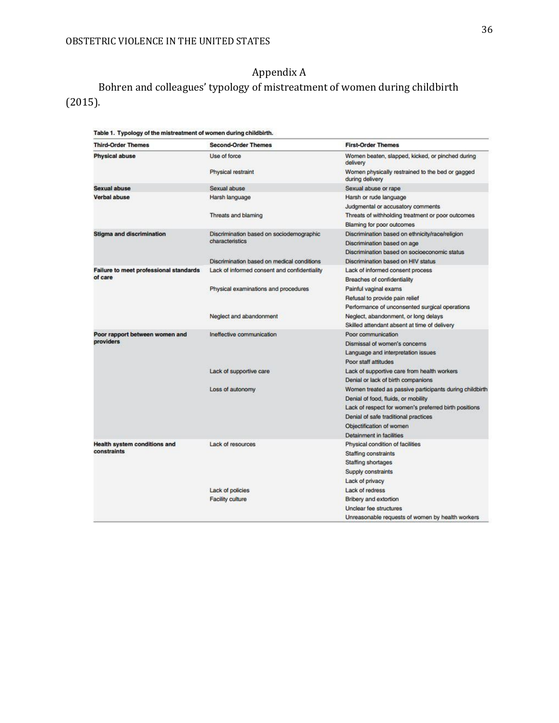# Appendix A

Bohren and colleagues' typology of mistreatment of women during childbirth (2015).

Table 1. Typology of the mistreatment of women during childbirth.

| <b>Third-Order Themes</b>              | <b>Second-Order Themes</b>                   | <b>First-Order Themes</b>                                           |
|----------------------------------------|----------------------------------------------|---------------------------------------------------------------------|
| <b>Physical abuse</b>                  | Use of force                                 | Women beaten, slapped, kicked, or pinched during<br>delivery        |
|                                        | Physical restraint                           | Women physically restrained to the bed or gagged<br>during delivery |
| <b>Sexual abuse</b>                    | Sexual abuse                                 | Sexual abuse or rape                                                |
| Verbal abuse                           | Harsh language                               | Harsh or rude language                                              |
|                                        |                                              | Judgmental or accusatory comments                                   |
|                                        | Threats and blaming                          | Threats of withholding treatment or poor outcomes                   |
|                                        |                                              | Blaming for poor outcomes                                           |
| <b>Stigma and discrimination</b>       | Discrimination based on sociodemographic     | Discrimination based on ethnicity/race/religion                     |
|                                        | characteristics                              | Discrimination based on age                                         |
|                                        |                                              | Discrimination based on socioeconomic status                        |
|                                        | Discrimination based on medical conditions   | Discrimination based on HIV status                                  |
| Failure to meet professional standards | Lack of informed consent and confidentiality | Lack of informed consent process                                    |
| of care                                |                                              | Breaches of confidentiality                                         |
|                                        | Physical examinations and procedures         | Painful vaginal exams                                               |
|                                        |                                              | Refusal to provide pain relief                                      |
|                                        |                                              | Performance of unconsented surgical operations                      |
|                                        | Neglect and abandonment                      | Neglect, abandonment, or long delays                                |
|                                        |                                              | Skilled attendant absent at time of delivery                        |
| Poor rapport between women and         | Ineffective communication                    | Poor communication                                                  |
| providers                              |                                              | Dismissal of women's concerns                                       |
|                                        |                                              | Language and interpretation issues                                  |
|                                        |                                              | Poor staff attitudes                                                |
|                                        | Lack of supportive care                      | Lack of supportive care from health workers                         |
|                                        |                                              | Denial or lack of birth companions                                  |
|                                        | Loss of autonomy                             | Women treated as passive participants during childbirth             |
|                                        |                                              | Denial of food, fluids, or mobility                                 |
|                                        |                                              | Lack of respect for women's preferred birth positions               |
|                                        |                                              | Denial of safe traditional practices                                |
|                                        |                                              | Objectification of women                                            |
|                                        |                                              | Detainment in facilities                                            |
| <b>Health system conditions and</b>    | Lack of resources                            | Physical condition of facilities                                    |
| constraints                            |                                              | Staffing constraints                                                |
|                                        |                                              | Staffing shortages                                                  |
|                                        |                                              | Supply constraints                                                  |
|                                        |                                              | Lack of privacy                                                     |
|                                        | Lack of policies                             | Lack of redress                                                     |
|                                        | Facility culture                             | Bribery and extortion                                               |
|                                        |                                              | Unclear fee structures                                              |
|                                        |                                              | Unreasonable requests of women by health workers                    |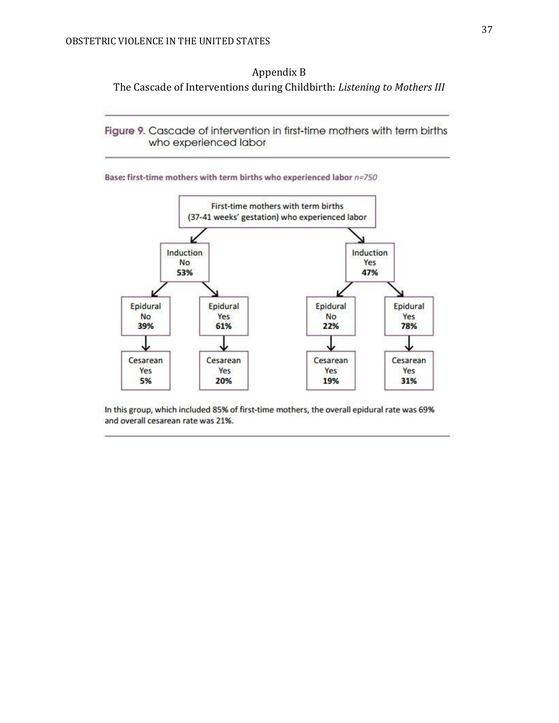# Appendix B The Cascade of Interventions during Childbirth: *Listening to Mothers III*

Figure 9. Cascade of intervention in first-time mothers with term births who experienced labor

### Base: first-time mothers with term births who experienced labor n=750



In this group, which included 85% of first-time mothers, the overall epidural rate was 69% and overall cesarean rate was 21%.